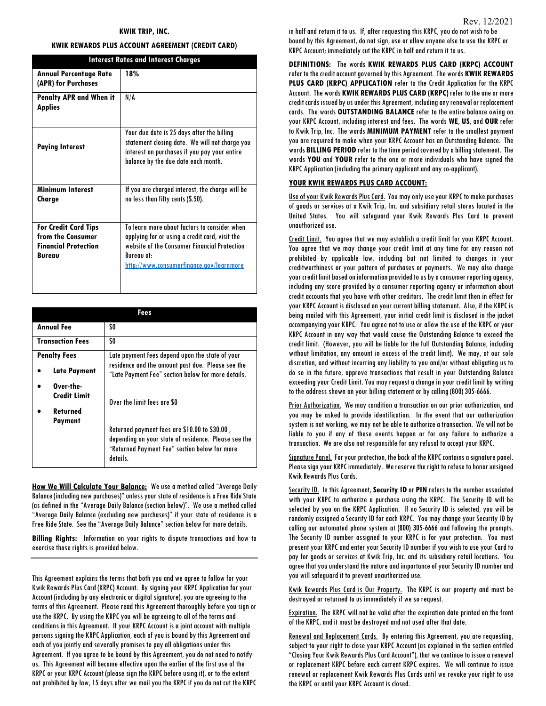#### KWIK TRIP, INC.

### KWIK REWARDS PLUS ACCOUNT AGREEMENT (CREDIT CARD)

| <b>Interest Rates and Interest Charges</b>                                                       |                                                                                                                                                                                                          |
|--------------------------------------------------------------------------------------------------|----------------------------------------------------------------------------------------------------------------------------------------------------------------------------------------------------------|
| <b>Annual Percentage Rate</b><br>(APR) for Purchases                                             | 18%                                                                                                                                                                                                      |
| <b>Penalty APR and When it</b><br><b>Applies</b>                                                 | N/A                                                                                                                                                                                                      |
| <b>Paying Interest</b>                                                                           | Your due date is 25 days after the billing<br>statement closing date. We will not charge you<br>interest on purchases if you pay your entire<br>balance by the due date each month.                      |
| <b>Minimum Interest</b><br>Charge                                                                | If you are charged interest, the charge will be<br>no less than fifty cents (\$.50).                                                                                                                     |
| <b>For Credit Card Tips</b><br>from the Consumer<br><b>Financial Protection</b><br><b>Bureau</b> | To learn more about factors to consider when<br>applying for or using a credit card, visit the<br>website of the Consumer Financial Protection<br>Bureau at:<br>http://www.consumerfinance.gov/learnmore |

| Fees                                         |                                                                                                                                                                    |
|----------------------------------------------|--------------------------------------------------------------------------------------------------------------------------------------------------------------------|
| <b>Annual Fee</b>                            | \$0                                                                                                                                                                |
| <b>Transaction Fees</b>                      | \$0                                                                                                                                                                |
| <b>Penalty Fees</b>                          | Late payment fees depend upon the state of your                                                                                                                    |
| Late Payment                                 | residence and the amount past due. Please see the<br>"Late Payment Fee" section below for more details.                                                            |
| Over-the-<br><b>Credit Limit</b><br>Returned | Over the limit fees are \$0                                                                                                                                        |
| <b>Payment</b>                               | Returned payment fees are \$10.00 to \$30.00,<br>depending on your state of residence. Please see the<br>"Returned Payment Fee" section below for more<br>details. |

**How We Will Calculate Your Balance:** We use a method called "Average Daily Balance (including new purchases)" unless your state of residence is a Free Ride State (as defined in the "Average Daily Balance (section below)". We use a method called "Average Daily Balance (excluding new purchases)" if your state of residence is a Free Ride State. See the "Average Daily Balance" section below for more details.

Billing Rights: Information on your rights to dispute transactions and how to exercise those rights is provided below.

This Agreement explains the terms that both you and we agree to follow for your Kwik Rewards Plus Card (KRPC) Account. By signing your KRPC Application for your Account (including by any electronic or digital signature), you are agreeing to the terms of this Agreement. Please read this Agreement thoroughly before you sign or use the KRPC. By using the KRPC you will be agreeing to all of the terms and conditions in this Agreement. If your KRPC Account is a joint account with multiple persons signing the KRPC Application, each of you is bound by this Agreement and each of you jointly and severally promises to pay all obligations under this Agreement. If you agree to be bound by this Agreement, you do not need to notify us. This Agreement will become effective upon the earlier of the first use of the KRPC or your KRPC Account (please sign the KRPC before using it), or to the extent not prohibited by law, 15 days after we mail you the KRPC if you do not cut the KRPC in half and return it to us. If, after requesting this KRPC, you do not wish to be bound by this Agreement, do not sign, use or allow anyone else to use the KRPC or KRPC Account; immediately cut the KRPC in half and return it to us.

## DEFINITIONS: The words KWIK REWARDS PLUS CARD (KRPC) ACCOUNT refer to the credit account governed by this Agreement. The words KWIK REWARDS PLUS CARD (KRPC) APPLICATION refer to the Credit Application for the KRPC Account. The words KWIK REWARDS PLUS CARD (KRPC) refer to the one or more credit cards issued by us under this Agreement, including any renewal or replacement cards. The words OUTSTANDING BALANCE refer to the entire balance owing on your KRPC Account, including interest and fees. The words WE, US, and OUR refer to Kwik Trip, Inc. The words MINIMUM PAYMENT refer to the smallest payment you are required to make when your KRPC Account has an Outstanding Balance. The words BILLING PERIOD refer to the time period covered by a billing statement. The words YOU and YOUR refer to the one or more individuals who have signed the KRPC Application (including the primary applicant and any co-applicant).

#### YOUR KWIK REWARDS PLUS CARD ACCOUNT:

Use of your Kwik Rewards Plus Card. You may only use your KRPC to make purchases of goods or services at a Kwik Trip, Inc. and subsidiary retail stores located in the United States. You will safeguard your Kwik Rewards Plus Card to prevent unauthorized use.

Credit Limit. You agree that we may establish a credit limit for your KRPC Account. You agree that we may change your credit limit at any time for any reason not prohibited by applicable law, including but not limited to changes in your creditworthiness or your pattern of purchases or payments. We may also change your credit limit based on information provided to us by a consumer reporting agency, including any score provided by a consumer reporting agency or information about credit accounts that you have with other creditors. The credit limit then in effect for your KRPC Account is disclosed on your current billing statement. Also, if the KRPC is being mailed with this Agreement, your initial credit limit is disclosed in the jacket accompanying your KRPC. You agree not to use or allow the use of the KRPC or your KRPC Account in any way that would cause the Outstanding Balance to exceed the credit limit. (However, you will be liable for the full Outstanding Balance, including without limitation, any amount in excess of the credit limit). We may, at our sole discretion, and without incurring any liability to you and/or without obligating us to do so in the future, approve transactions that result in your Outstanding Balance exceeding your Credit Limit. You may request a change in your credit limit by writing to the address shown on your billing statement or by calling (800) 305-6666.

Prior Authorization. We may condition a transaction on our prior authorization, and you may be asked to provide identification. In the event that our authorization system is not working, we may not be able to authorize a transaction. We will not be liable to you if any of these events happen or for any failure to authorize a transaction. We are also not responsible for any refusal to accept your KRPC.

Signature Panel. For your protection, the back of the KRPC contains a signature panel. Please sign your KRPC immediately. We reserve the right to refuse to honor unsigned Kwik Rewards Plus Cards.

Security ID. In this Agreement, Security ID or PIN refers to the number associated with your KRPC to authorize a purchase using the KRPC. The Security ID will be selected by you on the KRPC Application. If no Security ID is selected, you will be randomly assigned a Security ID for each KRPC. You may change your Security ID by calling our automated phone system at (800) 305-6666 and following the prompts. The Security ID number assigned to your KRPC is for your protection. You must present your KRPC and enter your Security ID number if you wish to use your Card to pay for goods or services at Kwik Trip, Inc. and its subsidiary retail locations. You agree that you understand the nature and importance of your Security ID number and you will safeguard it to prevent unauthorized use.

Kwik Rewards Plus Card is Our Property. The KRPC is our property and must be destroyed or returned to us immediately if we so request.

Expiration. The KRPC will not be valid after the expiration date printed on the front of the KRPC, and it must be destroyed and not used after that date.

Renewal and Replacement Cards. By entering this Agreement, you are requesting, subject to your right to close your KRPC Account (as explained in the section entitled "Closing Your Kwik Rewards Plus Card Account"), that we continue to issue a renewal or replacement KRPC before each current KRPC expires. We will continue to issue renewal or replacement Kwik Rewards Plus Cards until we revoke your right to use the KRPC or until your KRPC Account is closed.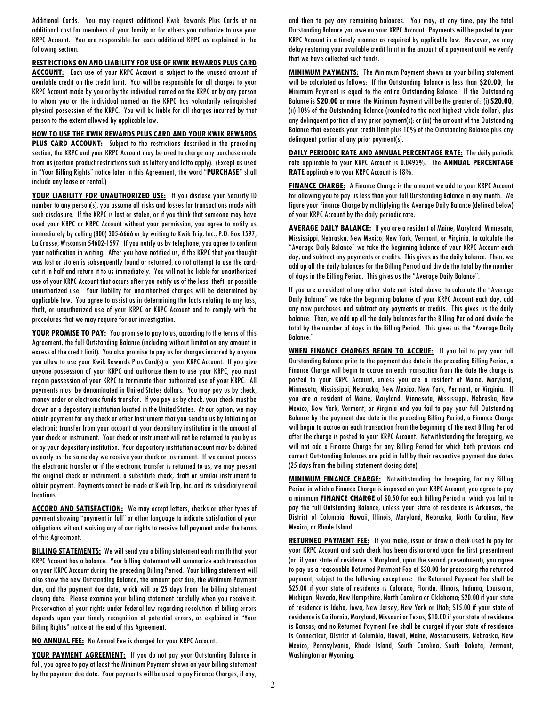Additional Cards. You may request additional Kwik Rewards Plus Cards at no additional cost for members of your family or for others you authorize to use your KRPC Account. You are responsible for each additional KRPC as explained in the following section.

RESTRICTIONS ON AND LIABILITY FOR USE OF KWIK REWARDS PLUS CARD

ACCOUNT: Each use of your KRPC Account is subject to the unused amount of available credit on the credit limit. You will be responsible for all charges to your KRPC Account made by you or by the individual named on the KRPC or by any person to whom you or the individual named on the KRPC has voluntarily relinquished physical possession of the KRPC. You will be liable for all charges incurred by that person to the extent allowed by applicable law.

HOW TO USE THE KWIK REWARDS PLUS CARD AND YOUR KWIK REWARDS **PLUS CARD ACCOUNT:** Subject to the restrictions described in the preceding section, the KRPC and your KRPC Account may be used to charge any purchase made from us (certain product restrictions such as lottery and lotto apply). (Except as used in "Your Billing Rights" notice later in this Agreement, the word "PURCHASE" shall include any lease or rental.)

YOUR LIABILITY FOR UNAUTHORIZED USE: If you disclose your Security ID number to any person(s), you assume all risks and losses for transactions made with such disclosure. If the KRPC is lost or stolen, or if you think that someone may have used your KRPC or KRPC Account without your permission, you agree to notify us immediately by calling (800) 305-6666 or by writing to Kwik Trip, Inc., P.O. Box 1597, La Crosse, Wisconsin 54602-1597. If you notify us by telephone, you agree to confirm your notification in writing. After you have notified us, if the KRPC that you thought was lost or stolen is subsequently found or returned, do not attempt to use the card; cut it in half and return it to us immediately. You will not be liable for unauthorized use of your KRPC Account that occurs after you notify us of the loss, theft, or possible unauthorized use. Your liability for unauthorized charges will be determined by applicable law. You agree to assist us in determining the facts relating to any loss, theft, or unauthorized use of your KRPC or KRPC Account and to comply with the procedures that we may require for our investigation.

YOUR PROMISE TO PAY: You promise to pay to us, according to the terms of this Agreement, the full Outstanding Balance (including without limitation any amount in excess of the credit limit). You also promise to pay us for charges incurred by anyone you allow to use your Kwik Rewards Plus Card(s) or your KRPC Account. If you give anyone possession of your KRPC and authorize them to use your KRPC, you must regain possession of your KRPC to terminate their authorized use of your KRPC. All payments must be denominated in United States dollars. You may pay us by check, money order or electronic funds transfer. If you pay us by check, your check must be drawn on a depository institution located in the United States. At our option, we may obtain payment for any check or other instrument that you send to us by initiating an electronic transfer from your account at your depository institution in the amount of your check or instrument. Your check or instrument will not be returned to you by us or by your depository institution. Your depository institution account may be debited as early as the same day we receive your check or instrument. If we cannot process the electronic transfer or if the electronic transfer is returned to us, we may present the original check or instrument, a substitute check, draft or similar instrument to obtain payment. Payments cannot be made at Kwik Trip, Inc. and its subsidiary retail locations.

ACCORD AND SATISFACTION: We may accept letters, checks or other types of payment showing "payment in full" or other language to indicate satisfaction of your obligations without waiving any of our rights to receive full payment under the terms of this Agreement.

BILLING STATEMENTS: We will send you a billing statement each month that your KRPC Account has a balance. Your billing statement will summarize each transaction on your KRPC Account during the preceding Billing Period. Your billing statement will also show the new Outstanding Balance, the amount past due, the Minimum Payment due, and the payment due date, which will be 25 days from the billing statement closing date. Please examine your billing statement carefully when you receive it. Preservation of your rights under federal law regarding resolution of billing errors depends upon your timely recognition of potential errors, as explained in "Your Billing Rights" notice at the end of this Agreement.

NO ANNUAL FEE: No Annual Fee is charged for your KRPC Account.

YOUR PAYMENT AGREEMENT: If you do not pay your Outstanding Balance in full, you agree to pay at least the Minimum Payment shown on your billing statement by the payment due date. Your payments will be used to pay Finance Charges, if any, and then to pay any remaining balances. You may, at any time, pay the total Outstanding Balance you owe on your KRPC Account. Payments will be posted to your KRPC Account in a timely manner as required by applicable law. However, we may delay restoring your available credit limit in the amount of a payment until we verify that we have collected such funds.

**MINIMUM PAYMENTS:** The Minimum Payment shown on your billing statement will be calculated as follows: If the Outstanding Balance is less than \$20.00, the Minimum Payment is equal to the entire Outstanding Balance. If the Outstanding Balance is \$20.00 or more, the Minimum Payment will be the greater of: (i) \$20.00, (ii) 10% of the Outstanding Balance (rounded to the next highest whole dollar), plus any delinquent portion of any prior payment(s); or (iii) the amount of the Outstanding Balance that exceeds your credit limit plus 10% of the Outstanding Balance plus any delinquent portion of any prior payment(s).

DAILY PERIODIC RATE AND ANNUAL PERCENTAGE RATE: The daily periodic rate applicable to your KRPC Account is 0.0493%. The ANNUAL PERCENTAGE RATE applicable to your KRPC Account is 18%.

FINANCE CHARGE: A Finance Charge is the amount we add to your KRPC Account for allowing you to pay us less than your full Outstanding Balance in any month. We figure your Finance Charge by multiplying the Average Daily Balance (defined below) of your KRPC Account by the daily periodic rate.

AVERAGE DAILY BALANCE: If you are a resident of Maine, Maryland, Minnesota, Mississippi, Nebraska, New Mexico, New York, Vermont, or Virginia, to calculate the "Average Daily Balance" we take the beginning balance of your KRPC Account each day, and subtract any payments or credits. This gives us the daily balance. Then, we add up all the daily balances for the Billing Period and divide the total by the number of days in the Billing Period. This gives us the "Average Daily Balance".

If you are a resident of any other state not listed above, to calculate the "Average Daily Balance" we take the beginning balance of your KRPC Account each day, add any new purchases and subtract any payments or credits. This gives us the daily balance. Then, we add up all the daily balances for the Billing Period and divide the total by the number of days in the Billing Period. This gives us the "Average Daily Balance."

WHEN FINANCE CHARGES BEGIN TO ACCRUE: If you fail to pay your full Outstanding Balance prior to the payment due date in the preceding Billing Period, a Finance Charge will begin to accrue on each transaction from the date the charge is posted to your KRPC Account, unless you are a resident of Maine, Maryland, Minnesota, Mississippi, Nebraska, New Mexico, New York, Vermont, or Virginia. If you are a resident of Maine, Maryland, Minnesota, Mississippi, Nebraska, New Mexico, New York, Vermont, or Virginia and you fail to pay your full Outstanding Balance by the payment due date in the preceding Billing Period, a Finance Charge will begin to accrue on each transaction from the beginning of the next Billing Period after the charge is posted to your KRPC Account. Notwithstanding the foregoing, we will not add a Finance Charge for any Billing Period for which both previous and current Outstanding Balances are paid in full by their respective payment due dates (25 days from the billing statement closing date).

**MINIMUM FINANCE CHARGE:** Notwithstanding the foregoing, for any Billing Period in which a Finance Charge is imposed on your KRPC Account, you agree to pay a minimum FINANCE CHARGE of \$0.50 for each Billing Period in which you fail to pay the full Outstanding Balance, unless your state of residence is Arkansas, the District of Columbia, Hawaii, Illinois, Maryland, Nebraska, North Carolina, New Mexico, or Rhode Island.

RETURNED PAYMENT FEE: If you make, issue or draw a check used to pay for your KRPC Account and such check has been dishonored upon the first presentment (or, if your state of residence is Maryland, upon the second presentment), you agree to pay us a reasonable Returned Payment Fee of \$30.00 for processing the returned payment, subject to the following exceptions: the Returned Payment Fee shall be \$25.00 if your state of residence is Colorado, Florida, Illinois, Indiana, Louisiana, Michigan, Nevada, New Hampshire, North Carolina or Oklahoma; \$20.00 if your state of residence is Idaho, Iowa, New Jersey, New York or Utah; \$15.00 if your state of residence is California, Maryland, Missouri or Texas; \$10.00 if your state of residence is Kansas; and no Returned Payment Fee shall be charged if your state of residence is Connecticut, District of Columbia, Hawaii, Maine, Massachusetts, Nebraska, New Mexico, Pennsylvania, Rhode Island, South Carolina, South Dakota, Vermont, Washington or Wyoming.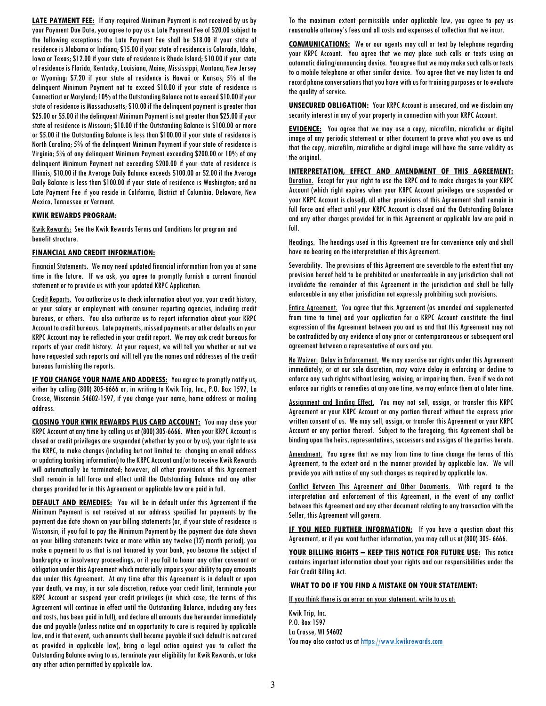LATE PAYMENT FEE: If any required Minimum Payment is not received by us by your Payment Due Date, you agree to pay us a Late Payment Fee of \$20.00 subject to the following exceptions; the Late Payment Fee shall be \$18.00 if your state of residence is Alabama or Indiana; \$15.00 if your state of residence is Colorado, Idaho, Iowa or Texas; \$12.00 if your state of residence is Rhode Island; \$10.00 if your state of residence is Florida, Kentucky, Louisiana, Maine, Mississippi, Montana, New Jersey or Wyoming; \$7.20 if your state of residence is Hawaii or Kansas; 5% of the delinquent Minimum Payment not to exceed \$10.00 if your state of residence is Connecticut or Maryland; 10% of the Outstanding Balance not to exceed \$10.00 if your state of residence is Massachusetts; \$10.00 if the delinquent payment is greater than \$25.00 or \$5.00 if the delinquent Minimum Payment is not greater than \$25.00 if your state of residence is Missouri; \$10.00 if the Outstanding Balance is \$100.00 or more or \$5.00 if the Outstanding Balance is less than \$100.00 if your state of residence is North Carolina; 5% of the delinquent Minimum Payment if your state of residence is Virginia; 5% of any delinquent Minimum Payment exceeding \$200.00 or 10% of any delinquent Minimum Payment not exceeding \$200.00 if your state of residence is Illinois; \$10.00 if the Average Daily Balance exceeds \$100.00 or \$2.00 if the Average Daily Balance is less than \$100.00 if your state of residence is Washington; and no Late Payment Fee if you reside in California, District of Columbia, Delaware, New Mexico, Tennessee or Vermont.

### KWIK REWARDS PROGRAM:

Kwik Rewards: See the Kwik Rewards Terms and Conditions for program and benefit structure.

# FINANCIAL AND CREDIT INFORMATION:

Financial Statements. We may need updated financial information from you at some time in the future. If we ask, you agree to promptly furnish a current financial statement or to provide us with your updated KRPC Application.

Credit Reports. You authorize us to check information about you, your credit history, or your salary or employment with consumer reporting agencies, including credit bureaus, or others. You also authorize us to report information about your KRPC Account to credit bureaus. Late payments, missed payments or other defaults on your KRPC Account may be reflected in your credit report. We may ask credit bureaus for reports of your credit history. At your request, we will tell you whether or not we have requested such reports and will tell you the names and addresses of the credit bureaus furnishing the reports.

IF YOU CHANGE YOUR NAME AND ADDRESS: You agree to promptly notify us, either by calling (800) 305-6666 or, in writing to Kwik Trip, Inc., P.O. Box 1597, La Crosse, Wisconsin 54602-1597, if you change your name, home address or mailing address.

CLOSING YOUR KWIK REWARDS PLUS CARD ACCOUNT: You may close your KRPC Account at any time by calling us at (800) 305-6666. When your KRPC Account is closed or credit privileges are suspended (whether by you or by us), your right to use the KRPC, to make changes (including but not limited to: changing an email address or updating banking information) to the KRPC Account and/or to receive Kwik Rewards will automatically be terminated; however, all other provisions of this Agreement shall remain in full force and effect until the Outstanding Balance and any other charges provided for in this Agreement or applicable law are paid in full.

**DEFAULT AND REMEDIES:** You will be in default under this Agreement if the Minimum Payment is not received at our address specified for payments by the payment due date shown on your billing statements (or, if your state of residence is Wisconsin, if you fail to pay the Minimum Payment by the payment due date shown on your billing statements twice or more within any twelve (12) month period), you make a payment to us that is not honored by your bank, you become the subject of bankruptcy or insolvency proceedings, or if you fail to honor any other covenant or obligation under this Agreement which materially impairs your ability to pay amounts due under this Agreement. At any time after this Agreement is in default or upon your death, we may, in our sole discretion, reduce your credit limit, terminate your KRPC Account or suspend your credit privileges (in which case, the terms of this Agreement will continue in effect until the Outstanding Balance, including any fees and costs, has been paid in full), and declare all amounts due hereunder immediately due and payable (unless notice and an opportunity to cure is required by applicable law, and in that event, such amounts shall become payable if such default is not cured as provided in applicable law), bring a legal action against you to collect the Outstanding Balance owing to us, terminate your eligibility for Kwik Rewards, or take any other action permitted by applicable law.

To the maximum extent permissible under applicable law, you agree to pay us reasonable attorney's fees and all costs and expenses of collection that we incur.

**COMMUNICATIONS:** We or our agents may call or text by telephone regarding your KRPC Account. You agree that we may place such calls or texts using an automatic dialing/announcing device. You agree that we may make such calls or texts to a mobile telephone or other similar device. You agree that we may listen to and record phone conversations that you have with us for training purposes or to evaluate the quality of service.

**UNSECURED OBLIGATION:** Your KRPC Account is unsecured, and we disclaim any security interest in any of your property in connection with your KRPC Account.

**EVIDENCE:** You agree that we may use a copy, microfilm, microfiche or digital image of any periodic statement or other document to prove what you owe us and that the copy, microfilm, microfiche or digital image will have the same validity as the original.

INTERPRETATION, EFFECT AND AMENDMENT OF THIS AGREEMENT: Duration. Except for your right to use the KRPC and to make charges to your KRPC Account (which right expires when your KRPC Account privileges are suspended or your KRPC Account is closed), all other provisions of this Agreement shall remain in full force and effect until your KRPC Account is closed and the Outstanding Balance and any other charges provided for in this Agreement or applicable law are paid in full.

Headings. The headings used in this Agreement are for convenience only and shall have no bearing on the interpretation of this Agreement.

Severability. The provisions of this Agreement are severable to the extent that any provision hereof held to be prohibited or unenforceable in any jurisdiction shall not invalidate the remainder of this Agreement in the jurisdiction and shall be fully enforceable in any other jurisdiction not expressly prohibiting such provisions.

Entire Agreement. You agree that this Agreement (as amended and supplemented from time to time) and your application for a KRPC Account constitute the final expression of the Agreement between you and us and that this Agreement may not be contradicted by any evidence of any prior or contemporaneous or subsequent oral agreement between a representative of ours and you.

No Waiver: Delay in Enforcement. We may exercise our rights under this Agreement immediately, or at our sole discretion, may waive delay in enforcing or decline to enforce any such rights without losing, waiving, or impairing them. Even if we do not enforce our rights or remedies at any one time, we may enforce them at a later time.

Assignment and Binding Effect. You may not sell, assign, or transfer this KRPC Agreement or your KRPC Account or any portion thereof without the express prior written consent of us. We may sell, assign, or transfer this Agreement or your KRPC Account or any portion thereof. Subject to the foregoing, this Agreement shall be binding upon the heirs, representatives, successors and assigns of the parties hereto.

Amendment. You agree that we may from time to time change the terms of this Agreement, to the extent and in the manner provided by applicable law. We will provide you with notice of any such changes as required by applicable law.

Conflict Between This Agreement and Other Documents. With regard to the interpretation and enforcement of this Agreement, in the event of any conflict between this Agreement and any other document relating to any transaction with the Seller, this Agreement will govern.

**IF YOU NEED FURTHER INFORMATION:** If you have a question about this Agreement, or if you want further information, you may call us at (800) 305- 6666.

YOUR BILLING RIGHTS - KEEP THIS NOTICE FOR FUTURE USE: This notice contains important information about your rights and our responsibilities under the Fair Credit Billing Act.

# WHAT TO DO IF YOU FIND A MISTAKE ON YOUR STATEMENT:

If you think there is an error on your statement, write to us at:

Kwik Trip, Inc. P.O. Box 1597 La Crosse, WI 54602 You may also contact us at https://www.kwikrewards.com